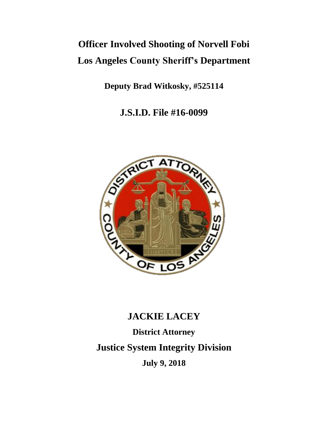# **Officer Involved Shooting of Norvell Fobi Los Angeles County Sheriff's Department**

**Deputy Brad Witkosky, #525114**

**J.S.I.D. File #16-0099**



# **JACKIE LACEY**

**District Attorney Justice System Integrity Division July 9, 2018**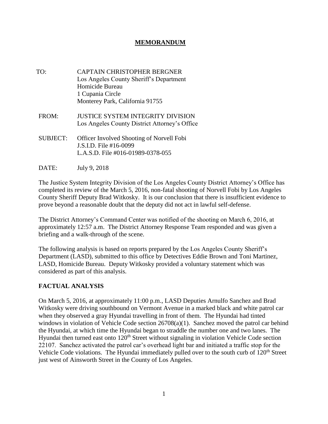## **MEMORANDUM**

- TO: CAPTAIN CHRISTOPHER BERGNER Los Angeles County Sheriff's Department Homicide Bureau 1 Cupania Circle Monterey Park, California 91755
- FROM: JUSTICE SYSTEM INTEGRITY DIVISION Los Angeles County District Attorney's Office
- SUBJECT: Officer Involved Shooting of Norvell Fobi J.S.I.D. File #16-0099 L.A.S.D. File #016-01989-0378-055
- DATE: July 9, 2018

The Justice System Integrity Division of the Los Angeles County District Attorney's Office has completed its review of the March 5, 2016, non-fatal shooting of Norvell Fobi by Los Angeles County Sheriff Deputy Brad Witkosky. It is our conclusion that there is insufficient evidence to prove beyond a reasonable doubt that the deputy did not act in lawful self-defense.

The District Attorney's Command Center was notified of the shooting on March 6, 2016, at approximately 12:57 a.m. The District Attorney Response Team responded and was given a briefing and a walk-through of the scene.

The following analysis is based on reports prepared by the Los Angeles County Sheriff's Department (LASD), submitted to this office by Detectives Eddie Brown and Toni Martinez, LASD, Homicide Bureau. Deputy Witkosky provided a voluntary statement which was considered as part of this analysis.

#### **FACTUAL ANALYSIS**

On March 5, 2016, at approximately 11:00 p.m., LASD Deputies Arnulfo Sanchez and Brad Witkosky were driving southbound on Vermont Avenue in a marked black and white patrol car when they observed a gray Hyundai travelling in front of them. The Hyundai had tinted windows in violation of Vehicle Code section  $26708(a)(1)$ . Sanchez moved the patrol car behind the Hyundai, at which time the Hyundai began to straddle the number one and two lanes. The Hyundai then turned east onto 120<sup>th</sup> Street without signaling in violation Vehicle Code section 22107. Sanchez activated the patrol car's overhead light bar and initiated a traffic stop for the Vehicle Code violations. The Hyundai immediately pulled over to the south curb of 120<sup>th</sup> Street just west of Ainsworth Street in the County of Los Angeles.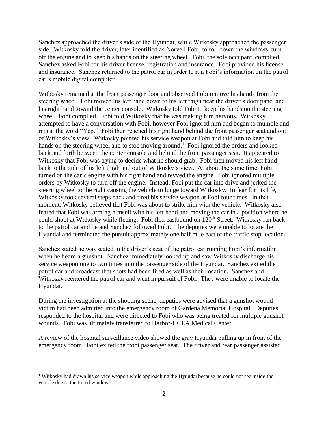Sanchez approached the driver's side of the Hyundai, while Witkosky approached the passenger side. Witkosky told the driver, later identified as Norvell Fobi, to roll down the windows, turn off the engine and to keep his hands on the steering wheel. Fobi, the sole occupant, complied. Sanchez asked Fobi for his driver license, registration and insurance. Fobi provided his license and insurance. Sanchez returned to the patrol car in order to run Fobi's information on the patrol car's mobile digital computer.

Witkosky remained at the front passenger door and observed Fobi remove his hands from the steering wheel. Fobi moved his left hand down to his left thigh near the driver's door panel and his right hand toward the center console. Witkosky told Fobi to keep his hands on the steering wheel. Fobi complied. Fobi told Witkosky that he was making him nervous. Witkosky attempted to have a conversation with Fobi, however Fobi ignored him and began to mumble and repeat the word "Yep." Fobi then reached his right hand behind the front passenger seat and out of Witkosky's view. Witkosky pointed his service weapon at Fobi and told him to keep his hands on the steering wheel and to stop moving around.<sup>1</sup> Fobi ignored the orders and looked back and forth between the center console and behind the front passenger seat. It appeared to Witkosky that Fobi was trying to decide what he should grab. Fobi then moved his left hand back to the side of his left thigh and out of Witkosky's view. At about the same time, Fobi turned on the car's engine with his right hand and revved the engine. Fobi ignored multiple orders by Witkosky to turn off the engine. Instead, Fobi put the car into drive and jerked the steering wheel to the right causing the vehicle to lunge toward Witkosky. In fear for his life, Witkosky took several steps back and fired his service weapon at Fobi four times. In that moment, Witkosky believed that Fobi was about to strike him with the vehicle. Witkosky also feared that Fobi was arming himself with his left hand and moving the car in a position where he could shoot at Witkosky while fleeing. Fobi fled eastbound on 120<sup>th</sup> Street. Witkosky ran back to the patrol car and he and Sanchez followed Fobi. The deputies were unable to locate the Hyundai and terminated the pursuit approximately one half mile east of the traffic stop location.

Sanchez stated he was seated in the driver's seat of the patrol car running Fobi's information when he heard a gunshot. Sanchez immediately looked up and saw Witkosky discharge his service weapon one to two times into the passenger side of the Hyundai. Sanchez exited the patrol car and broadcast that shots had been fired as well as their location. Sanchez and Witkosky reentered the patrol car and went in pursuit of Fobi. They were unable to locate the Hyundai.

During the investigation at the shooting scene, deputies were advised that a gunshot wound victim had been admitted into the emergency room of Gardena Memorial Hospital. Deputies responded to the hospital and were directed to Fobi who was being treated for multiple gunshot wounds. Fobi was ultimately transferred to Harbor-UCLA Medical Center.

A review of the hospital surveillance video showed the gray Hyundai pulling up in front of the emergency room. Fobi exited the front passenger seat. The driver and rear passenger assisted

<sup>&</sup>lt;sup>1</sup> Witkosky had drawn his service weapon while approaching the Hyundai because he could not see inside the vehicle due to the tinted windows.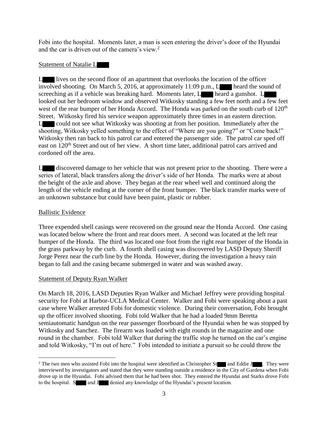Fobi into the hospital. Moments later, a man is seen entering the driver's door of the Hyundai and the car is driven out of the camera's view. $2$ 

## Statement of Natalie L

L lives on the second floor of an apartment that overlooks the location of the officer involved shooting. On March 5, 2016, at approximately 11:09 p.m.,  $L$  heard the sound of screeching as if a vehicle was breaking hard. Moments later, L heard a gunshot. L looked out her bedroom window and observed Witkosky standing a few feet north and a few feet west of the rear bumper of her Honda Accord. The Honda was parked on the south curb of 120<sup>th</sup> Street. Witkosky fired his service weapon approximately three times in an eastern direction. L could not see what Witkosky was shooting at from her position. Immediately after the shooting, Witkosky yelled something to the effect of "Where are you going?" or "Come back!" Witkosky then ran back to his patrol car and entered the passenger side. The patrol car sped off east on 120<sup>th</sup> Street and out of her view. A short time later, additional patrol cars arrived and cordoned off the area.

L discovered damage to her vehicle that was not present prior to the shooting. There were a series of lateral, black transfers along the driver's side of her Honda. The marks were at about the height of the axle and above. They began at the rear wheel well and continued along the length of the vehicle ending at the corner of the front bumper. The black transfer marks were of an unknown substance but could have been paint, plastic or rubber.

#### Ballistic Evidence

Three expended shell casings were recovered on the ground near the Honda Accord. One casing was located below where the front and rear doors meet. A second was located at the left rear bumper of the Honda. The third was located one foot from the right rear bumper of the Honda in the grass parkway by the curb. A fourth shell casing was discovered by LASD Deputy Sheriff Jorge Perez near the curb line by the Honda. However, during the investigation a heavy rain began to fall and the casing became submerged in water and was washed away.

#### Statement of Deputy Ryan Walker

On March 18, 2016, LASD Deputies Ryan Walker and Michael Jeffrey were providing hospital security for Fobi at Harbor-UCLA Medical Center. Walker and Fobi were speaking about a past case where Walker arrested Fobi for domestic violence. During their conversation, Fobi brought up the officer involved shooting. Fobi told Walker that he had a loaded 9mm Beretta semiautomatic handgun on the rear passenger floorboard of the Hyundai when he was stopped by Witkosky and Sanchez. The firearm was loaded with eight rounds in the magazine and one round in the chamber. Fobi told Walker that during the traffic stop he turned on the car's engine and told Witkosky, "I'm out of here." Fobi intended to initiate a pursuit so he could throw the

<sup>&</sup>lt;sup>2</sup> The two men who assisted Fobi into the hospital were identified as Christopher St and Eddie J . They were interviewed by investigators and stated that they were standing outside a residence in the City of Gardena when Fobi drove up in the Hyundai. Fobi advised them that he had been shot. They entered the Hyundai and Starks drove Fobi to the hospital. S and J denied any knowledge of the Hyundai's present location.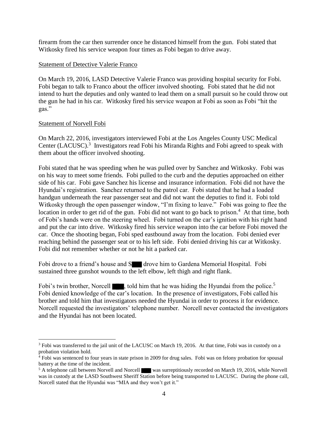firearm from the car then surrender once he distanced himself from the gun. Fobi stated that Witkosky fired his service weapon four times as Fobi began to drive away.

#### Statement of Detective Valerie Franco

On March 19, 2016, LASD Detective Valerie Franco was providing hospital security for Fobi. Fobi began to talk to Franco about the officer involved shooting. Fobi stated that he did not intend to hurt the deputies and only wanted to lead them on a small pursuit so he could throw out the gun he had in his car. Witkosky fired his service weapon at Fobi as soon as Fobi "hit the gas."

#### Statement of Norvell Fobi

 $\overline{a}$ 

On March 22, 2016, investigators interviewed Fobi at the Los Angeles County USC Medical Center (LACUSC).<sup>3</sup> Investigators read Fobi his Miranda Rights and Fobi agreed to speak with them about the officer involved shooting.

Fobi stated that he was speeding when he was pulled over by Sanchez and Witkosky. Fobi was on his way to meet some friends. Fobi pulled to the curb and the deputies approached on either side of his car. Fobi gave Sanchez his license and insurance information. Fobi did not have the Hyundai's registration. Sanchez returned to the patrol car. Fobi stated that he had a loaded handgun underneath the rear passenger seat and did not want the deputies to find it. Fobi told Witkosky through the open passenger window, "I'm fixing to leave." Fobi was going to flee the location in order to get rid of the gun. Fobi did not want to go back to prison.<sup>4</sup> At that time, both of Fobi's hands were on the steering wheel. Fobi turned on the car's ignition with his right hand and put the car into drive. Witkosky fired his service weapon into the car before Fobi moved the car. Once the shooting began, Fobi sped eastbound away from the location. Fobi denied ever reaching behind the passenger seat or to his left side. Fobi denied driving his car at Witkosky. Fobi did not remember whether or not he hit a parked car.

Fobi drove to a friend's house and S drove him to Gardena Memorial Hospital. Fobi sustained three gunshot wounds to the left elbow, left thigh and right flank.

Fobi's twin brother, Norcell  $\blacksquare$ , told him that he was hiding the Hyundai from the police.<sup>5</sup> Fobi denied knowledge of the car's location. In the presence of investigators, Fobi called his brother and told him that investigators needed the Hyundai in order to process it for evidence. Norcell requested the investigators' telephone number. Norcell never contacted the investigators and the Hyundai has not been located.

<sup>&</sup>lt;sup>3</sup> Fobi was transferred to the jail unit of the LACUSC on March 19, 2016. At that time, Fobi was in custody on a probation violation hold.

<sup>4</sup> Fobi was sentenced to four years in state prison in 2009 for drug sales. Fobi was on felony probation for spousal battery at the time of the incident.

<sup>&</sup>lt;sup>5</sup> A telephone call between Norvell and Norcell was surreptitiously recorded on March 19, 2016, while Norvell was in custody at the LASD Southwest Sheriff Station before being transported to LACUSC. During the phone call, Norcell stated that the Hyundai was "MIA and they won't get it."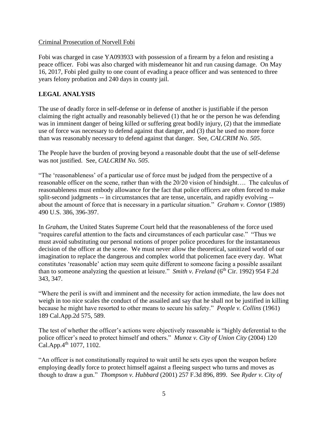#### Criminal Prosecution of Norvell Fobi

Fobi was charged in case YA093933 with possession of a firearm by a felon and resisting a peace officer. Fobi was also charged with misdemeanor hit and run causing damage. On May 16, 2017, Fobi pled guilty to one count of evading a peace officer and was sentenced to three years felony probation and 240 days in county jail.

# **LEGAL ANALYSIS**

The use of deadly force in self-defense or in defense of another is justifiable if the person claiming the right actually and reasonably believed (1) that he or the person he was defending was in imminent danger of being killed or suffering great bodily injury, (2) that the immediate use of force was necessary to defend against that danger, and (3) that he used no more force than was reasonably necessary to defend against that danger. See, *CALCRIM No. 505*.

The People have the burden of proving beyond a reasonable doubt that the use of self-defense was not justified. See, *CALCRIM No. 505*.

"The 'reasonableness' of a particular use of force must be judged from the perspective of a reasonable officer on the scene, rather than with the 20/20 vision of hindsight…. The calculus of reasonableness must embody allowance for the fact that police officers are often forced to make split-second judgments -- in circumstances that are tense, uncertain, and rapidly evolving - about the amount of force that is necessary in a particular situation." *Graham v. Connor* (1989) 490 U.S. 386, 396-397.

In *Graham*, the United States Supreme Court held that the reasonableness of the force used "requires careful attention to the facts and circumstances of each particular case." "Thus we must avoid substituting our personal notions of proper police procedures for the instantaneous decision of the officer at the scene. We must never allow the theoretical, sanitized world of our imagination to replace the dangerous and complex world that policemen face every day. What constitutes 'reasonable' action may seem quite different to someone facing a possible assailant than to someone analyzing the question at leisure." *Smith v. Freland* (6<sup>th</sup> Cir. 1992) 954 F.2d 343, 347.

"Where the peril is swift and imminent and the necessity for action immediate, the law does not weigh in too nice scales the conduct of the assailed and say that he shall not be justified in killing because he might have resorted to other means to secure his safety." *People v. Collins* (1961) 189 Cal.App.2d 575, 589.

The test of whether the officer's actions were objectively reasonable is "highly deferential to the police officer's need to protect himself and others." *Munoz v. City of Union City* (2004) 120 Cal.App.4<sup>th</sup> 1077, 1102.

"An officer is not constitutionally required to wait until he sets eyes upon the weapon before employing deadly force to protect himself against a fleeing suspect who turns and moves as though to draw a gun." *Thompson v. Hubbard* (2001) 257 F.3d 896, 899. See *Ryder v. City of*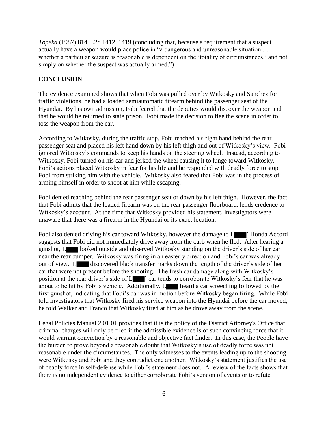*Topeka* (1987) 814 F.2d 1412, 1419 (concluding that, because a requirement that a suspect actually have a weapon would place police in "a dangerous and unreasonable situation … whether a particular seizure is reasonable is dependent on the 'totality of circumstances,' and not simply on whether the suspect was actually armed.")

# **CONCLUSION**

The evidence examined shows that when Fobi was pulled over by Witkosky and Sanchez for traffic violations, he had a loaded semiautomatic firearm behind the passenger seat of the Hyundai. By his own admission, Fobi feared that the deputies would discover the weapon and that he would be returned to state prison. Fobi made the decision to flee the scene in order to toss the weapon from the car.

According to Witkosky, during the traffic stop, Fobi reached his right hand behind the rear passenger seat and placed his left hand down by his left thigh and out of Witkosky's view. Fobi ignored Witkosky's commands to keep his hands on the steering wheel. Instead, according to Witkosky, Fobi turned on his car and jerked the wheel causing it to lunge toward Witkosky. Fobi's actions placed Witkosky in fear for his life and he responded with deadly force to stop Fobi from striking him with the vehicle. Witkosky also feared that Fobi was in the process of arming himself in order to shoot at him while escaping.

Fobi denied reaching behind the rear passenger seat or down by his left thigh. However, the fact that Fobi admits that the loaded firearm was on the rear passenger floorboard, lends credence to Witkosky's account. At the time that Witkosky provided his statement, investigators were unaware that there was a firearm in the Hyundai or its exact location.

Fobi also denied driving his car toward Witkosky, however the damage to L ' Honda Accord suggests that Fobi did not immediately drive away from the curb when he fled. After hearing a gunshot, L looked outside and observed Witkosky standing on the driver's side of her car near the rear bumper. Witkosky was firing in an easterly direction and Fobi's car was already out of view. L discovered black transfer marks down the length of the driver's side of her car that were not present before the shooting. The fresh car damage along with Witkosky's position at the rear driver's side of L  $\blacksquare$  ' car tends to corroborate Witkosky's fear that he was about to be hit by Fobi's vehicle. Additionally, L heard a car screeching followed by the first gunshot, indicating that Fobi's car was in motion before Witkosky began firing. While Fobi told investigators that Witkosky fired his service weapon into the Hyundai before the car moved, he told Walker and Franco that Witkosky fired at him as he drove away from the scene.

Legal Policies Manual 2.01.01 provides that it is the policy of the District Attorney's Office that criminal charges will only be filed if the admissible evidence is of such convincing force that it would warrant conviction by a reasonable and objective fact finder. In this case, the People have the burden to prove beyond a reasonable doubt that Witkosky's use of deadly force was not reasonable under the circumstances. The only witnesses to the events leading up to the shooting were Witkosky and Fobi and they contradict one another. Witkosky's statement justifies the use of deadly force in self-defense while Fobi's statement does not. A review of the facts shows that there is no independent evidence to either corroborate Fobi's version of events or to refute